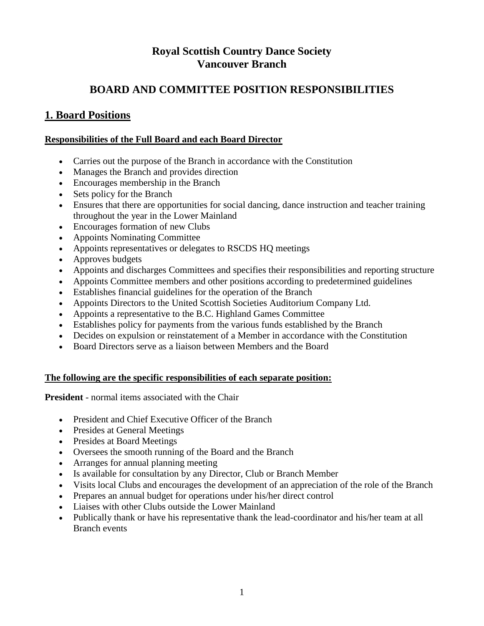# **Royal Scottish Country Dance Society Vancouver Branch**

# **BOARD AND COMMITTEE POSITION RESPONSIBILITIES**

# **1. Board Positions**

### **Responsibilities of the Full Board and each Board Director**

- Carries out the purpose of the Branch in accordance with the Constitution
- Manages the Branch and provides direction
- Encourages membership in the Branch
- Sets policy for the Branch
- Ensures that there are opportunities for social dancing, dance instruction and teacher training throughout the year in the Lower Mainland
- Encourages formation of new Clubs
- Appoints Nominating Committee
- Appoints representatives or delegates to RSCDS HQ meetings
- Approves budgets
- Appoints and discharges Committees and specifies their responsibilities and reporting structure
- Appoints Committee members and other positions according to predetermined guidelines
- Establishes financial guidelines for the operation of the Branch
- Appoints Directors to the United Scottish Societies Auditorium Company Ltd.
- Appoints a representative to the B.C. Highland Games Committee
- Establishes policy for payments from the various funds established by the Branch
- Decides on expulsion or reinstatement of a Member in accordance with the Constitution
- Board Directors serve as a liaison between Members and the Board

### **The following are the specific responsibilities of each separate position:**

**President** - normal items associated with the Chair

- President and Chief Executive Officer of the Branch
- Presides at General Meetings
- Presides at Board Meetings
- Oversees the smooth running of the Board and the Branch
- Arranges for annual planning meeting
- Is available for consultation by any Director, Club or Branch Member
- Visits local Clubs and encourages the development of an appreciation of the role of the Branch
- Prepares an annual budget for operations under his/her direct control
- Liaises with other Clubs outside the Lower Mainland
- Publically thank or have his representative thank the lead-coordinator and his/her team at all Branch events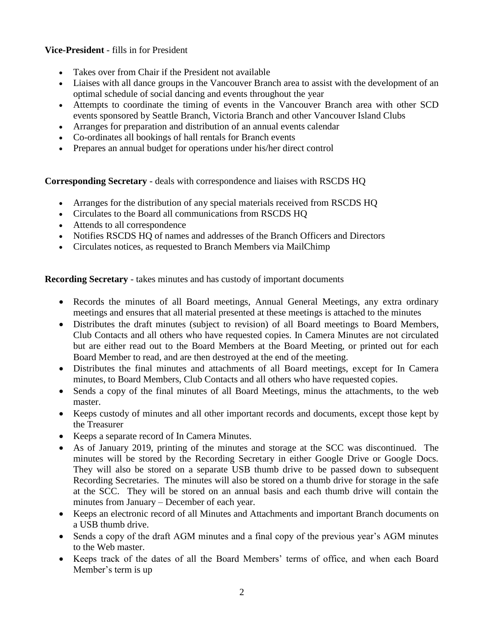### **Vice-President** - fills in for President

- Takes over from Chair if the President not available
- Liaises with all dance groups in the Vancouver Branch area to assist with the development of an optimal schedule of social dancing and events throughout the year
- Attempts to coordinate the timing of events in the Vancouver Branch area with other SCD events sponsored by Seattle Branch, Victoria Branch and other Vancouver Island Clubs
- Arranges for preparation and distribution of an annual events calendar
- Co-ordinates all bookings of hall rentals for Branch events
- Prepares an annual budget for operations under his/her direct control

**Corresponding Secretary** - deals with correspondence and liaises with RSCDS HQ

- Arranges for the distribution of any special materials received from RSCDS HQ
- Circulates to the Board all communications from RSCDS HQ
- Attends to all correspondence
- Notifies RSCDS HO of names and addresses of the Branch Officers and Directors
- Circulates notices, as requested to Branch Members via MailChimp

**Recording Secretary** - takes minutes and has custody of important documents

- Records the minutes of all Board meetings, Annual General Meetings, any extra ordinary meetings and ensures that all material presented at these meetings is attached to the minutes
- Distributes the draft minutes (subject to revision) of all Board meetings to Board Members, Club Contacts and all others who have requested copies. In Camera Minutes are not circulated but are either read out to the Board Members at the Board Meeting, or printed out for each Board Member to read, and are then destroyed at the end of the meeting.
- Distributes the final minutes and attachments of all Board meetings, except for In Camera minutes, to Board Members, Club Contacts and all others who have requested copies.
- Sends a copy of the final minutes of all Board Meetings, minus the attachments, to the web master.
- Keeps custody of minutes and all other important records and documents, except those kept by the Treasurer
- Keeps a separate record of In Camera Minutes.
- As of January 2019, printing of the minutes and storage at the SCC was discontinued. The minutes will be stored by the Recording Secretary in either Google Drive or Google Docs. They will also be stored on a separate USB thumb drive to be passed down to subsequent Recording Secretaries. The minutes will also be stored on a thumb drive for storage in the safe at the SCC. They will be stored on an annual basis and each thumb drive will contain the minutes from January – December of each year.
- Keeps an electronic record of all Minutes and Attachments and important Branch documents on a USB thumb drive.
- Sends a copy of the draft AGM minutes and a final copy of the previous year's AGM minutes to the Web master.
- Keeps track of the dates of all the Board Members' terms of office, and when each Board Member's term is up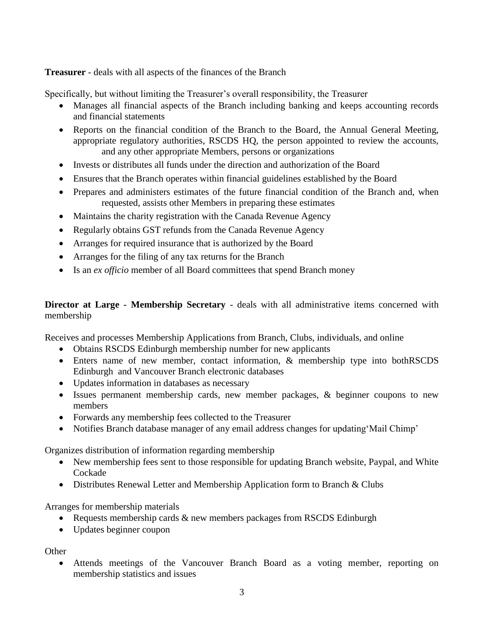**Treasurer** - deals with all aspects of the finances of the Branch

Specifically, but without limiting the Treasurer's overall responsibility, the Treasurer

- Manages all financial aspects of the Branch including banking and keeps accounting records and financial statements
- Reports on the financial condition of the Branch to the Board, the Annual General Meeting, appropriate regulatory authorities, RSCDS HQ, the person appointed to review the accounts, and any other appropriate Members, persons or organizations
- Invests or distributes all funds under the direction and authorization of the Board
- Ensures that the Branch operates within financial guidelines established by the Board
- Prepares and administers estimates of the future financial condition of the Branch and, when requested, assists other Members in preparing these estimates
- Maintains the charity registration with the Canada Revenue Agency
- Regularly obtains GST refunds from the Canada Revenue Agency
- Arranges for required insurance that is authorized by the Board
- Arranges for the filing of any tax returns for the Branch
- Is an *ex officio* member of all Board committees that spend Branch money

## **Director at Large - Membership Secretary** - deals with all administrative items concerned with membership

Receives and processes Membership Applications from Branch, Clubs, individuals, and online

- Obtains RSCDS Edinburgh membership number for new applicants
- Enters name of new member, contact information, & membership type into bothRSCDS Edinburgh and Vancouver Branch electronic databases
- Updates information in databases as necessary
- Issues permanent membership cards, new member packages, & beginner coupons to new members
- Forwards any membership fees collected to the Treasurer
- Notifies Branch database manager of any email address changes for updating 'Mail Chimp'

Organizes distribution of information regarding membership

- New membership fees sent to those responsible for updating Branch website, Paypal, and White Cockade
- Distributes Renewal Letter and Membership Application form to Branch & Clubs

Arranges for membership materials

- Requests membership cards & new members packages from RSCDS Edinburgh
- Updates beginner coupon

**Other** 

 Attends meetings of the Vancouver Branch Board as a voting member, reporting on membership statistics and issues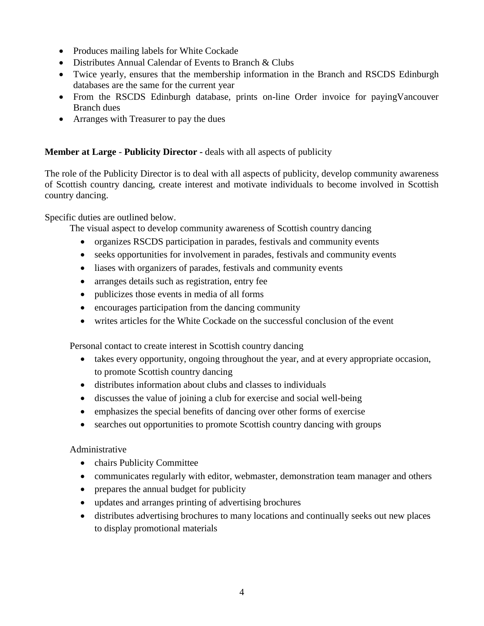- Produces mailing labels for White Cockade
- Distributes Annual Calendar of Events to Branch & Clubs
- Twice yearly, ensures that the membership information in the Branch and RSCDS Edinburgh databases are the same for the current year
- From the RSCDS Edinburgh database, prints on-line Order invoice for payingVancouver Branch dues
- Arranges with Treasurer to pay the dues

## **Member at Large** - **Publicity Director -** deals with all aspects of publicity

The role of the Publicity Director is to deal with all aspects of publicity, develop community awareness of Scottish country dancing, create interest and motivate individuals to become involved in Scottish country dancing.

Specific duties are outlined below.

The visual aspect to develop community awareness of Scottish country dancing

- organizes RSCDS participation in parades, festivals and community events
- seeks opportunities for involvement in parades, festivals and community events
- liases with organizers of parades, festivals and community events
- arranges details such as registration, entry fee
- publicizes those events in media of all forms
- encourages participation from the dancing community
- writes articles for the White Cockade on the successful conclusion of the event

Personal contact to create interest in Scottish country dancing

- takes every opportunity, ongoing throughout the year, and at every appropriate occasion, to promote Scottish country dancing
- distributes information about clubs and classes to individuals
- discusses the value of joining a club for exercise and social well-being
- emphasizes the special benefits of dancing over other forms of exercise
- searches out opportunities to promote Scottish country dancing with groups

Administrative

- chairs Publicity Committee
- communicates regularly with editor, webmaster, demonstration team manager and others
- prepares the annual budget for publicity
- updates and arranges printing of advertising brochures
- distributes advertising brochures to many locations and continually seeks out new places to display promotional materials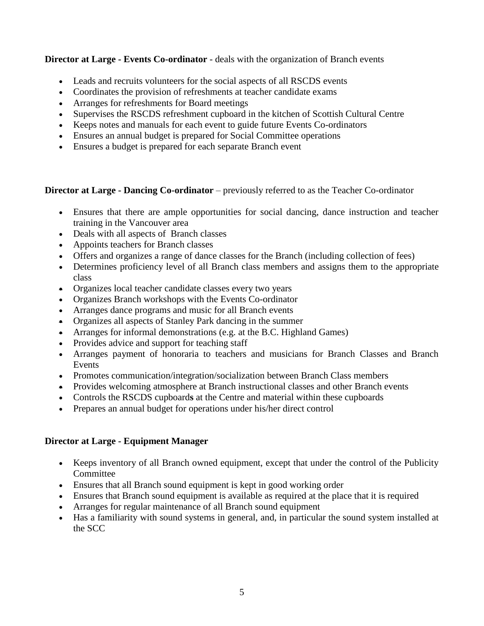**Director at Large - Events Co-ordinator** - deals with the organization of Branch events

- Leads and recruits volunteers for the social aspects of all RSCDS events
- Coordinates the provision of refreshments at teacher candidate exams
- Arranges for refreshments for Board meetings
- Supervises the RSCDS refreshment cupboard in the kitchen of Scottish Cultural Centre
- Keeps notes and manuals for each event to guide future Events Co-ordinators
- Ensures an annual budget is prepared for Social Committee operations
- Ensures a budget is prepared for each separate Branch event

## **Director at Large - Dancing Co-ordinator** – previously referred to as the Teacher Co-ordinator

- Ensures that there are ample opportunities for social dancing, dance instruction and teacher training in the Vancouver area
- Deals with all aspects of Branch classes
- Appoints teachers for Branch classes
- Offers and organizes a range of dance classes for the Branch (including collection of fees)
- Determines proficiency level of all Branch class members and assigns them to the appropriate class
- Organizes local teacher candidate classes every two years
- Organizes Branch workshops with the Events Co-ordinator
- Arranges dance programs and music for all Branch events
- Organizes all aspects of Stanley Park dancing in the summer
- Arranges for informal demonstrations (e.g. at the B.C. Highland Games)
- Provides advice and support for teaching staff
- Arranges payment of honoraria to teachers and musicians for Branch Classes and Branch Events
- Promotes communication/integration/socialization between Branch Class members
- Provides welcoming atmosphere at Branch instructional classes and other Branch events
- Controls the RSCDS cupboard**s** at the Centre and material within these cupboards
- Prepares an annual budget for operations under his/her direct control

# **Director at Large - Equipment Manager**

- Keeps inventory of all Branch owned equipment, except that under the control of the Publicity Committee
- Ensures that all Branch sound equipment is kept in good working order
- Ensures that Branch sound equipment is available as required at the place that it is required
- Arranges for regular maintenance of all Branch sound equipment
- Has a familiarity with sound systems in general, and, in particular the sound system installed at the SCC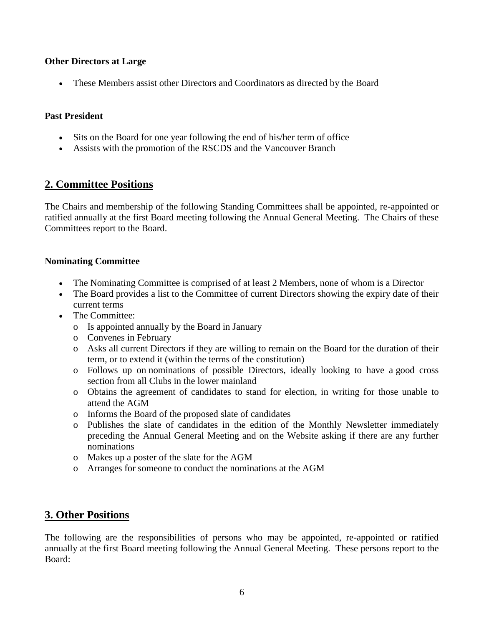### **Other Directors at Large**

These Members assist other Directors and Coordinators as directed by the Board

### **Past President**

- Sits on the Board for one year following the end of his/her term of office
- Assists with the promotion of the RSCDS and the Vancouver Branch

# **2. Committee Positions**

The Chairs and membership of the following Standing Committees shall be appointed, re-appointed or ratified annually at the first Board meeting following the Annual General Meeting. The Chairs of these Committees report to the Board.

### **Nominating Committee**

- The Nominating Committee is comprised of at least 2 Members, none of whom is a Director
- The Board provides a list to the Committee of current Directors showing the expiry date of their current terms
- The Committee:
	- o Is appointed annually by the Board in January
	- o Convenes in February
	- o Asks all current Directors if they are willing to remain on the Board for the duration of their term, or to extend it (within the terms of the constitution)
	- o Follows up on nominations of possible Directors, ideally looking to have a good cross section from all Clubs in the lower mainland
	- o Obtains the agreement of candidates to stand for election, in writing for those unable to attend the AGM
	- o Informs the Board of the proposed slate of candidates
	- o Publishes the slate of candidates in the edition of the Monthly Newsletter immediately preceding the Annual General Meeting and on the Website asking if there are any further nominations
	- o Makes up a poster of the slate for the AGM
	- o Arranges for someone to conduct the nominations at the AGM

# **3. Other Positions**

The following are the responsibilities of persons who may be appointed, re-appointed or ratified annually at the first Board meeting following the Annual General Meeting. These persons report to the Board: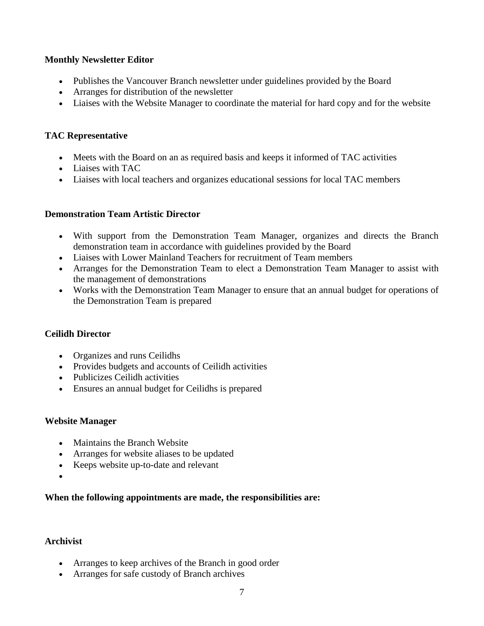### **Monthly Newsletter Editor**

- Publishes the Vancouver Branch newsletter under guidelines provided by the Board
- Arranges for distribution of the newsletter
- Liaises with the Website Manager to coordinate the material for hard copy and for the website

### **TAC Representative**

- Meets with the Board on an as required basis and keeps it informed of TAC activities
- Liaises with TAC
- Liaises with local teachers and organizes educational sessions for local TAC members

### **Demonstration Team Artistic Director**

- With support from the Demonstration Team Manager, organizes and directs the Branch demonstration team in accordance with guidelines provided by the Board
- Liaises with Lower Mainland Teachers for recruitment of Team members
- Arranges for the Demonstration Team to elect a Demonstration Team Manager to assist with the management of demonstrations
- Works with the Demonstration Team Manager to ensure that an annual budget for operations of the Demonstration Team is prepared

### **Ceilidh Director**

- Organizes and runs Ceilidhs
- Provides budgets and accounts of Ceilidh activities
- Publicizes Ceilidh activities
- Ensures an annual budget for Ceilidhs is prepared

### **Website Manager**

- Maintains the Branch Website
- Arranges for website aliases to be updated
- Keeps website up-to-date and relevant
- $\bullet$

## **When the following appointments are made, the responsibilities are:**

### **Archivist**

- Arranges to keep archives of the Branch in good order
- Arranges for safe custody of Branch archives